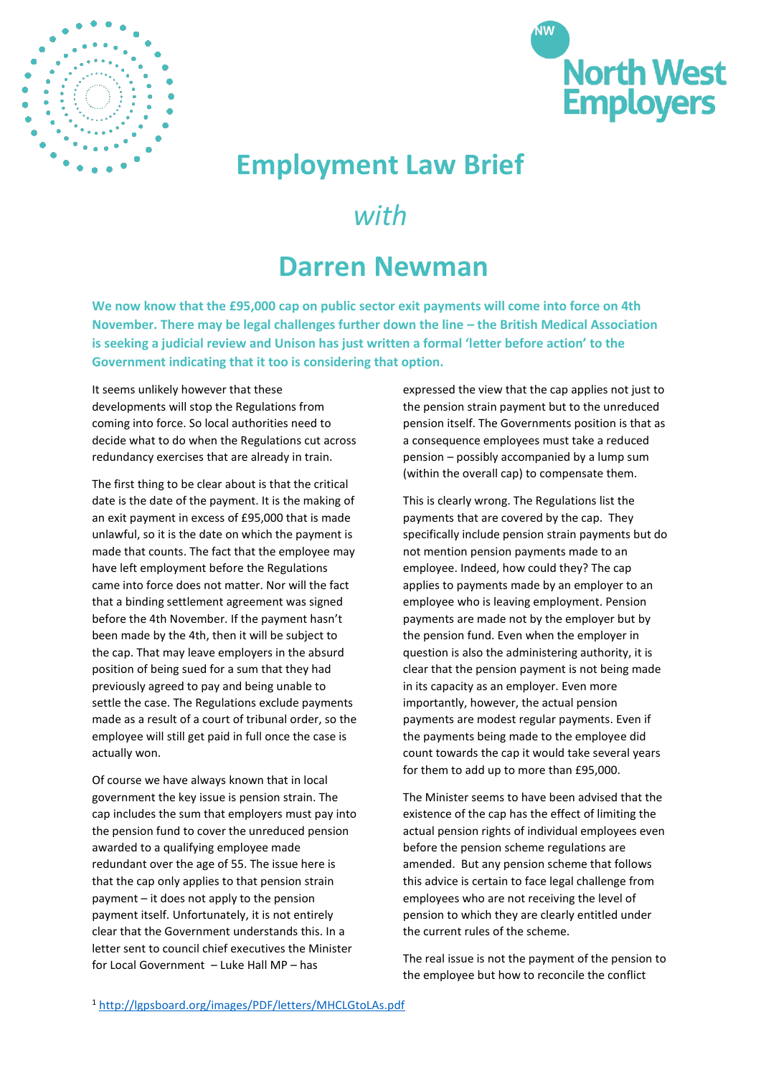



## **Employment Law Brief**

## *with*

## **Darren Newman**

**We now know that the £95,000 cap on public sector exit payments will come into force on 4th November. There may be legal challenges further down the line – the British Medical Association is seeking a judicial review and Unison has just written a formal 'letter before action' to the Government indicating that it too is considering that option.**

It seems unlikely however that these developments will stop the Regulations from coming into force. So local authorities need to decide what to do when the Regulations cut across redundancy exercises that are already in train.

The first thing to be clear about is that the critical date is the date of the payment. It is the making of an exit payment in excess of £95,000 that is made unlawful, so it is the date on which the payment is made that counts. The fact that the employee may have left employment before the Regulations came into force does not matter. Nor will the fact that a binding settlement agreement was signed before the 4th November. If the payment hasn't been made by the 4th, then it will be subject to the cap. That may leave employers in the absurd position of being sued for a sum that they had previously agreed to pay and being unable to settle the case. The Regulations exclude payments made as a result of a court of tribunal order, so the employee will still get paid in full once the case is actually won.

Of course we have always known that in local government the key issue is pension strain. The cap includes the sum that employers must pay into the pension fund to cover the unreduced pension awarded to a qualifying employee made redundant over the age of 55. The issue here is that the cap only applies to that pension strain payment – it does not apply to the pension payment itself. Unfortunately, it is not entirely clear that the Government understands this. In a letter sent to council chief executives the Minister for Local Government – Luke Hall MP – has

expressed the view that the cap applies not just to the pension strain payment but to the unreduced pension itself. The Governments position is that as a consequence employees must take a reduced pension – possibly accompanied by a lump sum (within the overall cap) to compensate them.

This is clearly wrong. The Regulations list the payments that are covered by the cap. They specifically include pension strain payments but do not mention pension payments made to an employee. Indeed, how could they? The cap applies to payments made by an employer to an employee who is leaving employment. Pension payments are made not by the employer but by the pension fund. Even when the employer in question is also the administering authority, it is clear that the pension payment is not being made in its capacity as an employer. Even more importantly, however, the actual pension payments are modest regular payments. Even if the payments being made to the employee did count towards the cap it would take several years for them to add up to more than £95,000.

The Minister seems to have been advised that the existence of the cap has the effect of limiting the actual pension rights of individual employees even before the pension scheme regulations are amended. But any pension scheme that follows this advice is certain to face legal challenge from employees who are not receiving the level of pension to which they are clearly entitled under the current rules of the scheme.

The real issue is not the payment of the pension to the employee but how to reconcile the conflict